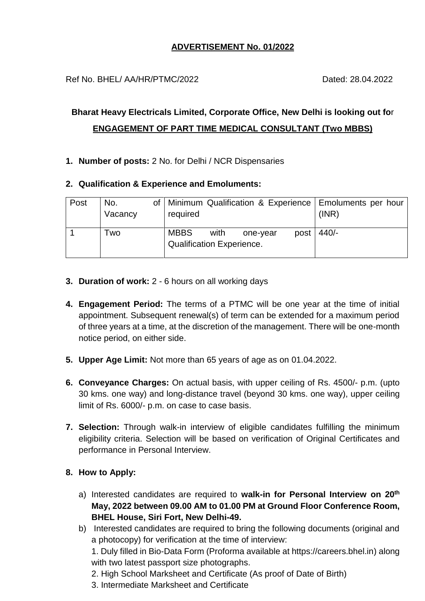# **ADVERTISEMENT No. 01/2022**

Ref No. BHEL/ AA/HR/PTMC/2022 Dated: 28.04.2022

# **Bharat Heavy Electricals Limited, Corporate Office, New Delhi is looking out fo**r **ENGAGEMENT OF PART TIME MEDICAL CONSULTANT (Two MBBS)**

- **1. Number of posts:** 2 No. for Delhi / NCR Dispensaries
- **2. Qualification & Experience and Emoluments:**

| Post | No.<br>Vacancy | required                                        |      |          |      | of   Minimum Qualification & Experience   Emoluments per hour<br>(INR) |
|------|----------------|-------------------------------------------------|------|----------|------|------------------------------------------------------------------------|
|      | Two            | <b>MBBS</b><br><b>Qualification Experience.</b> | with | one-year | post | $440/-$                                                                |

- **3. Duration of work:** 2 6 hours on all working days
- **4. Engagement Period:** The terms of a PTMC will be one year at the time of initial appointment. Subsequent renewal(s) of term can be extended for a maximum period of three years at a time, at the discretion of the management. There will be one-month notice period, on either side.
- **5. Upper Age Limit:** Not more than 65 years of age as on 01.04.2022.
- **6. Conveyance Charges:** On actual basis, with upper ceiling of Rs. 4500/- p.m. (upto 30 kms. one way) and long-distance travel (beyond 30 kms. one way), upper ceiling limit of Rs. 6000/- p.m. on case to case basis.
- **7. Selection:** Through walk-in interview of eligible candidates fulfilling the minimum eligibility criteria. Selection will be based on verification of Original Certificates and performance in Personal Interview.

# **8. How to Apply:**

- a) Interested candidates are required to **walk-in for Personal Interview on 20th May, 2022 between 09.00 AM to 01.00 PM at Ground Floor Conference Room, BHEL House, Siri Fort, New Delhi-49.**
- b) Interested candidates are required to bring the following documents (original and a photocopy) for verification at the time of interview:

1. Duly filled in Bio-Data Form (Proforma available at https://careers.bhel.in) along with two latest passport size photographs.

- 2. High School Marksheet and Certificate (As proof of Date of Birth)
- 3. Intermediate Marksheet and Certificate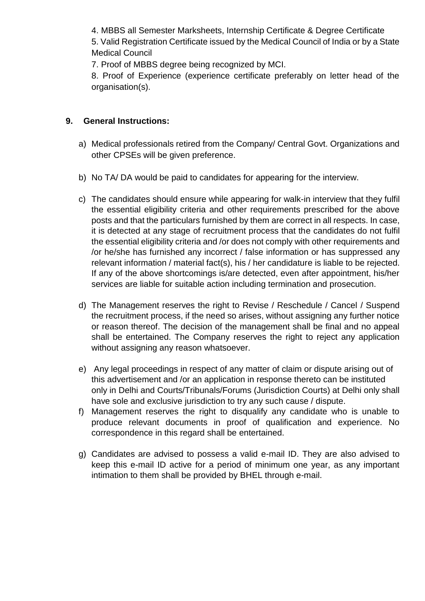4. MBBS all Semester Marksheets, Internship Certificate & Degree Certificate

5. Valid Registration Certificate issued by the Medical Council of India or by a State Medical Council

7. Proof of MBBS degree being recognized by MCI.

8. Proof of Experience (experience certificate preferably on letter head of the organisation(s).

# **9. General Instructions:**

- a) Medical professionals retired from the Company/ Central Govt. Organizations and other CPSEs will be given preference.
- b) No TA/ DA would be paid to candidates for appearing for the interview.
- c) The candidates should ensure while appearing for walk-in interview that they fulfil the essential eligibility criteria and other requirements prescribed for the above posts and that the particulars furnished by them are correct in all respects. In case, it is detected at any stage of recruitment process that the candidates do not fulfil the essential eligibility criteria and /or does not comply with other requirements and /or he/she has furnished any incorrect / false information or has suppressed any relevant information / material fact(s), his / her candidature is liable to be rejected. If any of the above shortcomings is/are detected, even after appointment, his/her services are liable for suitable action including termination and prosecution.
- d) The Management reserves the right to Revise / Reschedule / Cancel / Suspend the recruitment process, if the need so arises, without assigning any further notice or reason thereof. The decision of the management shall be final and no appeal shall be entertained. The Company reserves the right to reject any application without assigning any reason whatsoever.
- e) Any legal proceedings in respect of any matter of claim or dispute arising out of this advertisement and /or an application in response thereto can be instituted only in Delhi and Courts/Tribunals/Forums (Jurisdiction Courts) at Delhi only shall have sole and exclusive jurisdiction to try any such cause / dispute.
- f) Management reserves the right to disqualify any candidate who is unable to produce relevant documents in proof of qualification and experience. No correspondence in this regard shall be entertained.
- g) Candidates are advised to possess a valid e-mail ID. They are also advised to keep this e-mail ID active for a period of minimum one year, as any important intimation to them shall be provided by BHEL through e-mail.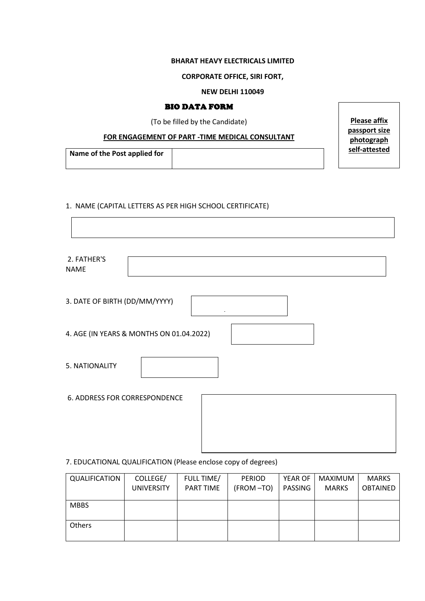## **BHARAT HEAVY ELECTRICALS LIMITED**

#### **CORPORATE OFFICE, SIRI FORT,**

## **NEW DELHI 110049**

**Please affix passport size photograph** 

┑

#### BIO DATA FORM

(To be filled by the Candidate)

## **FOR ENGAGEMENT OF PART -TIME MEDICAL CONSULTANT**

**Name of the Post applied for self-attested**

#### 1. NAME (CAPITAL LETTERS AS PER HIGH SCHOOL CERTIFICATE)

 $\Gamma$ 

| 2. FATHER'S<br><b>NAME</b>           |                                          |  |  |  |
|--------------------------------------|------------------------------------------|--|--|--|
| 3. DATE OF BIRTH (DD/MM/YYYY)        |                                          |  |  |  |
|                                      | 4. AGE (IN YEARS & MONTHS ON 01.04.2022) |  |  |  |
| 5. NATIONALITY                       |                                          |  |  |  |
| <b>6. ADDRESS FOR CORRESPONDENCE</b> |                                          |  |  |  |

## 7. EDUCATIONAL QUALIFICATION (Please enclose copy of degrees)

| QUALIFICATION | COLLEGE/<br><b>UNIVERSITY</b> | FULL TIME/<br>PART TIME | <b>PERIOD</b><br>(FROM-TO) | YEAR OF<br>PASSING | MAXIMUM<br><b>MARKS</b> | <b>MARKS</b><br><b>OBTAINED</b> |
|---------------|-------------------------------|-------------------------|----------------------------|--------------------|-------------------------|---------------------------------|
| <b>MBBS</b>   |                               |                         |                            |                    |                         |                                 |
| Others        |                               |                         |                            |                    |                         |                                 |